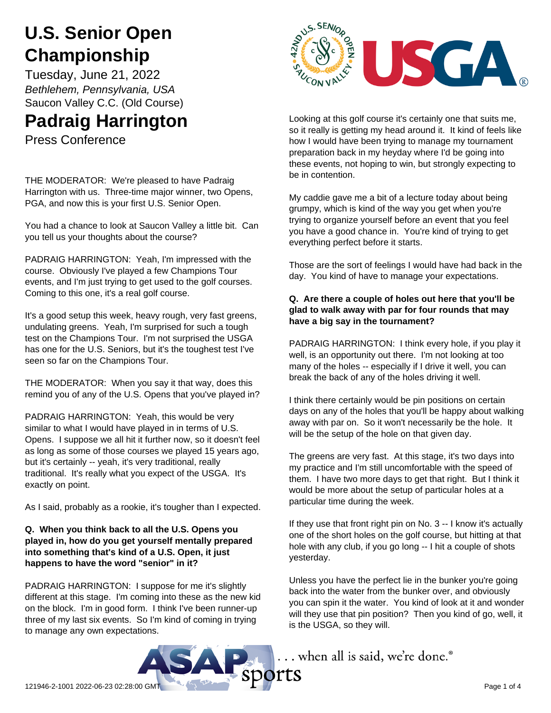# **U.S. Senior Open Championship**

Tuesday, June 21, 2022 *Bethlehem, Pennsylvania, USA* Saucon Valley C.C. (Old Course)

# **Padraig Harrington**

Press Conference

THE MODERATOR: We're pleased to have Padraig Harrington with us. Three-time major winner, two Opens, PGA, and now this is your first U.S. Senior Open.

You had a chance to look at Saucon Valley a little bit. Can you tell us your thoughts about the course?

PADRAIG HARRINGTON: Yeah, I'm impressed with the course. Obviously I've played a few Champions Tour events, and I'm just trying to get used to the golf courses. Coming to this one, it's a real golf course.

It's a good setup this week, heavy rough, very fast greens, undulating greens. Yeah, I'm surprised for such a tough test on the Champions Tour. I'm not surprised the USGA has one for the U.S. Seniors, but it's the toughest test I've seen so far on the Champions Tour.

THE MODERATOR: When you say it that way, does this remind you of any of the U.S. Opens that you've played in?

PADRAIG HARRINGTON: Yeah, this would be very similar to what I would have played in in terms of U.S. Opens. I suppose we all hit it further now, so it doesn't feel as long as some of those courses we played 15 years ago, but it's certainly -- yeah, it's very traditional, really traditional. It's really what you expect of the USGA. It's exactly on point.

As I said, probably as a rookie, it's tougher than I expected.

### **Q. When you think back to all the U.S. Opens you played in, how do you get yourself mentally prepared into something that's kind of a U.S. Open, it just happens to have the word "senior" in it?**

PADRAIG HARRINGTON: I suppose for me it's slightly different at this stage. I'm coming into these as the new kid on the block. I'm in good form. I think I've been runner-up three of my last six events. So I'm kind of coming in trying to manage any own expectations.



Looking at this golf course it's certainly one that suits me, so it really is getting my head around it. It kind of feels like how I would have been trying to manage my tournament preparation back in my heyday where I'd be going into these events, not hoping to win, but strongly expecting to be in contention.

My caddie gave me a bit of a lecture today about being grumpy, which is kind of the way you get when you're trying to organize yourself before an event that you feel you have a good chance in. You're kind of trying to get everything perfect before it starts.

Those are the sort of feelings I would have had back in the day. You kind of have to manage your expectations.

### **Q. Are there a couple of holes out here that you'll be glad to walk away with par for four rounds that may have a big say in the tournament?**

PADRAIG HARRINGTON: I think every hole, if you play it well, is an opportunity out there. I'm not looking at too many of the holes -- especially if I drive it well, you can break the back of any of the holes driving it well.

I think there certainly would be pin positions on certain days on any of the holes that you'll be happy about walking away with par on. So it won't necessarily be the hole. It will be the setup of the hole on that given day.

The greens are very fast. At this stage, it's two days into my practice and I'm still uncomfortable with the speed of them. I have two more days to get that right. But I think it would be more about the setup of particular holes at a particular time during the week.

If they use that front right pin on No. 3 -- I know it's actually one of the short holes on the golf course, but hitting at that hole with any club, if you go long -- I hit a couple of shots yesterday.

Unless you have the perfect lie in the bunker you're going back into the water from the bunker over, and obviously you can spin it the water. You kind of look at it and wonder will they use that pin position? Then you kind of go, well, it is the USGA, so they will.

... when all is said, we're done.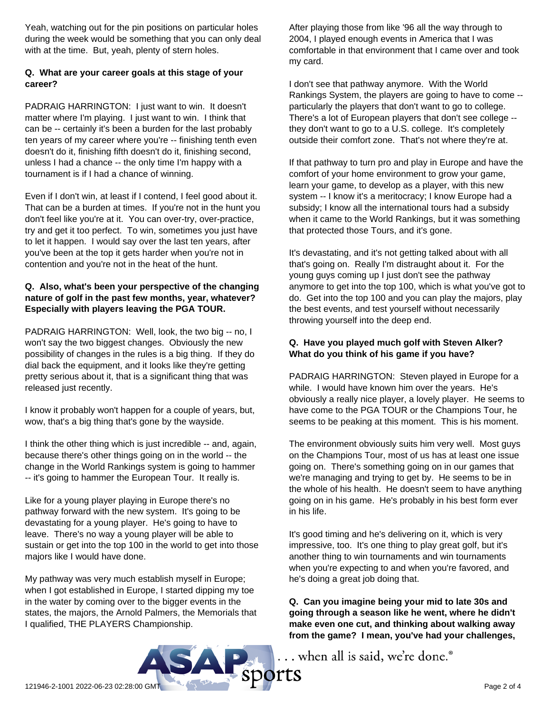Yeah, watching out for the pin positions on particular holes during the week would be something that you can only deal with at the time. But, yeah, plenty of stern holes.

### **Q. What are your career goals at this stage of your career?**

PADRAIG HARRINGTON: I just want to win. It doesn't matter where I'm playing. I just want to win. I think that can be -- certainly it's been a burden for the last probably ten years of my career where you're -- finishing tenth even doesn't do it, finishing fifth doesn't do it, finishing second, unless I had a chance -- the only time I'm happy with a tournament is if I had a chance of winning.

Even if I don't win, at least if I contend, I feel good about it. That can be a burden at times. If you're not in the hunt you don't feel like you're at it. You can over-try, over-practice, try and get it too perfect. To win, sometimes you just have to let it happen. I would say over the last ten years, after you've been at the top it gets harder when you're not in contention and you're not in the heat of the hunt.

#### **Q. Also, what's been your perspective of the changing nature of golf in the past few months, year, whatever? Especially with players leaving the PGA TOUR.**

PADRAIG HARRINGTON: Well, look, the two big -- no, I won't say the two biggest changes. Obviously the new possibility of changes in the rules is a big thing. If they do dial back the equipment, and it looks like they're getting pretty serious about it, that is a significant thing that was released just recently.

I know it probably won't happen for a couple of years, but, wow, that's a big thing that's gone by the wayside.

I think the other thing which is just incredible -- and, again, because there's other things going on in the world -- the change in the World Rankings system is going to hammer -- it's going to hammer the European Tour. It really is.

Like for a young player playing in Europe there's no pathway forward with the new system. It's going to be devastating for a young player. He's going to have to leave. There's no way a young player will be able to sustain or get into the top 100 in the world to get into those majors like I would have done.

My pathway was very much establish myself in Europe; when I got established in Europe, I started dipping my toe in the water by coming over to the bigger events in the states, the majors, the Arnold Palmers, the Memorials that I qualified, THE PLAYERS Championship.

After playing those from like '96 all the way through to 2004, I played enough events in America that I was comfortable in that environment that I came over and took my card.

I don't see that pathway anymore. With the World Rankings System, the players are going to have to come - particularly the players that don't want to go to college. There's a lot of European players that don't see college - they don't want to go to a U.S. college. It's completely outside their comfort zone. That's not where they're at.

If that pathway to turn pro and play in Europe and have the comfort of your home environment to grow your game, learn your game, to develop as a player, with this new system -- I know it's a meritocracy; I know Europe had a subsidy; I know all the international tours had a subsidy when it came to the World Rankings, but it was something that protected those Tours, and it's gone.

It's devastating, and it's not getting talked about with all that's going on. Really I'm distraught about it. For the young guys coming up I just don't see the pathway anymore to get into the top 100, which is what you've got to do. Get into the top 100 and you can play the majors, play the best events, and test yourself without necessarily throwing yourself into the deep end.

### **Q. Have you played much golf with Steven Alker? What do you think of his game if you have?**

PADRAIG HARRINGTON: Steven played in Europe for a while. I would have known him over the years. He's obviously a really nice player, a lovely player. He seems to have come to the PGA TOUR or the Champions Tour, he seems to be peaking at this moment. This is his moment.

The environment obviously suits him very well. Most guys on the Champions Tour, most of us has at least one issue going on. There's something going on in our games that we're managing and trying to get by. He seems to be in the whole of his health. He doesn't seem to have anything going on in his game. He's probably in his best form ever in his life.

It's good timing and he's delivering on it, which is very impressive, too. It's one thing to play great golf, but it's another thing to win tournaments and win tournaments when you're expecting to and when you're favored, and he's doing a great job doing that.

**Q. Can you imagine being your mid to late 30s and going through a season like he went, where he didn't make even one cut, and thinking about walking away from the game? I mean, you've had your challenges,**

.. when all is said, we're done.®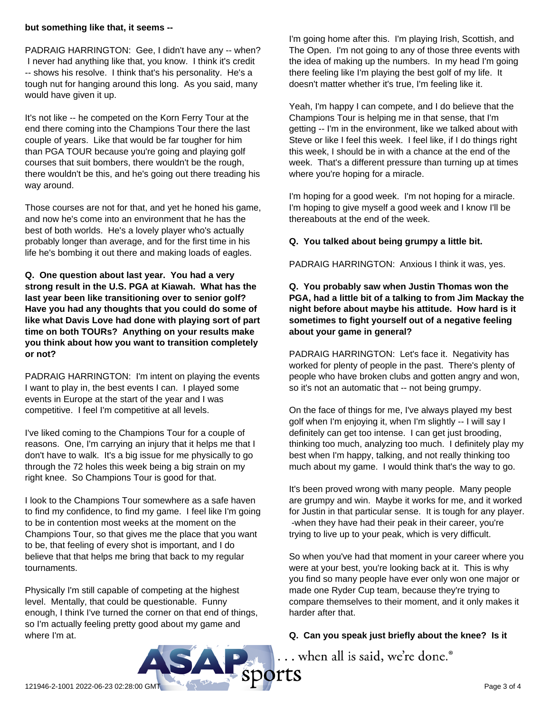#### **but something like that, it seems --**

PADRAIG HARRINGTON: Gee, I didn't have any -- when? I never had anything like that, you know. I think it's credit -- shows his resolve. I think that's his personality. He's a tough nut for hanging around this long. As you said, many would have given it up.

It's not like -- he competed on the Korn Ferry Tour at the end there coming into the Champions Tour there the last couple of years. Like that would be far tougher for him than PGA TOUR because you're going and playing golf courses that suit bombers, there wouldn't be the rough, there wouldn't be this, and he's going out there treading his way around.

Those courses are not for that, and yet he honed his game, and now he's come into an environment that he has the best of both worlds. He's a lovely player who's actually probably longer than average, and for the first time in his life he's bombing it out there and making loads of eagles.

**Q. One question about last year. You had a very strong result in the U.S. PGA at Kiawah. What has the last year been like transitioning over to senior golf? Have you had any thoughts that you could do some of like what Davis Love had done with playing sort of part time on both TOURs? Anything on your results make you think about how you want to transition completely or not?**

PADRAIG HARRINGTON: I'm intent on playing the events I want to play in, the best events I can. I played some events in Europe at the start of the year and I was competitive. I feel I'm competitive at all levels.

I've liked coming to the Champions Tour for a couple of reasons. One, I'm carrying an injury that it helps me that I don't have to walk. It's a big issue for me physically to go through the 72 holes this week being a big strain on my right knee. So Champions Tour is good for that.

I look to the Champions Tour somewhere as a safe haven to find my confidence, to find my game. I feel like I'm going to be in contention most weeks at the moment on the Champions Tour, so that gives me the place that you want to be, that feeling of every shot is important, and I do believe that that helps me bring that back to my regular tournaments.

Physically I'm still capable of competing at the highest level. Mentally, that could be questionable. Funny enough, I think I've turned the corner on that end of things, so I'm actually feeling pretty good about my game and where I'm at.

I'm going home after this. I'm playing Irish, Scottish, and The Open. I'm not going to any of those three events with the idea of making up the numbers. In my head I'm going there feeling like I'm playing the best golf of my life. It doesn't matter whether it's true, I'm feeling like it.

Yeah, I'm happy I can compete, and I do believe that the Champions Tour is helping me in that sense, that I'm getting -- I'm in the environment, like we talked about with Steve or like I feel this week. I feel like, if I do things right this week, I should be in with a chance at the end of the week. That's a different pressure than turning up at times where you're hoping for a miracle.

I'm hoping for a good week. I'm not hoping for a miracle. I'm hoping to give myself a good week and I know I'll be thereabouts at the end of the week.

## **Q. You talked about being grumpy a little bit.**

PADRAIG HARRINGTON: Anxious I think it was, yes.

**Q. You probably saw when Justin Thomas won the PGA, had a little bit of a talking to from Jim Mackay the night before about maybe his attitude. How hard is it sometimes to fight yourself out of a negative feeling about your game in general?**

PADRAIG HARRINGTON: Let's face it. Negativity has worked for plenty of people in the past. There's plenty of people who have broken clubs and gotten angry and won, so it's not an automatic that -- not being grumpy.

On the face of things for me, I've always played my best golf when I'm enjoying it, when I'm slightly -- I will say I definitely can get too intense. I can get just brooding, thinking too much, analyzing too much. I definitely play my best when I'm happy, talking, and not really thinking too much about my game. I would think that's the way to go.

It's been proved wrong with many people. Many people are grumpy and win. Maybe it works for me, and it worked for Justin in that particular sense. It is tough for any player. -when they have had their peak in their career, you're trying to live up to your peak, which is very difficult.

So when you've had that moment in your career where you were at your best, you're looking back at it. This is why you find so many people have ever only won one major or made one Ryder Cup team, because they're trying to compare themselves to their moment, and it only makes it harder after that.

## **Q. Can you speak just briefly about the knee? Is it**

... when all is said, we're done.®